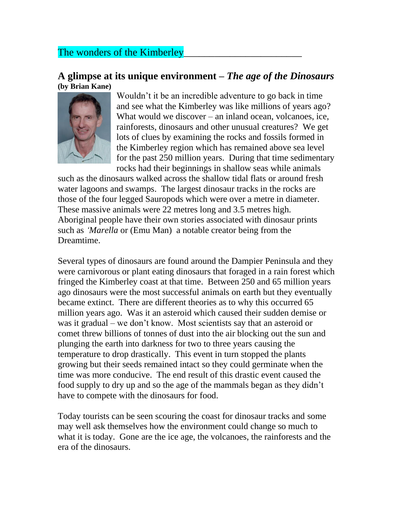## The wonders of the Kimberley

## **A glimpse at its unique environment –** *The age of the Dinosaurs* **(by Brian Kane)**



Wouldn't it be an incredible adventure to go back in time and see what the Kimberley was like millions of years ago? What would we discover – an inland ocean, volcanoes, ice, rainforests, dinosaurs and other unusual creatures? We get lots of clues by examining the rocks and fossils formed in the Kimberley region which has remained above sea level for the past 250 million years. During that time sedimentary rocks had their beginnings in shallow seas while animals

such as the dinosaurs walked across the shallow tidal flats or around fresh water lagoons and swamps. The largest dinosaur tracks in the rocks are those of the four legged Sauropods which were over a metre in diameter. These massive animals were 22 metres long and 3.5 metres high. Aboriginal people have their own stories associated with dinosaur prints such as *'Marella* or (Emu Man) a notable creator being from the Dreamtime.

Several types of dinosaurs are found around the Dampier Peninsula and they were carnivorous or plant eating dinosaurs that foraged in a rain forest which fringed the Kimberley coast at that time. Between 250 and 65 million years ago dinosaurs were the most successful animals on earth but they eventually became extinct. There are different theories as to why this occurred 65 million years ago. Was it an asteroid which caused their sudden demise or was it gradual – we don't know. Most scientists say that an asteroid or comet threw billions of tonnes of dust into the air blocking out the sun and plunging the earth into darkness for two to three years causing the temperature to drop drastically. This event in turn stopped the plants growing but their seeds remained intact so they could germinate when the time was more conducive. The end result of this drastic event caused the food supply to dry up and so the age of the mammals began as they didn't have to compete with the dinosaurs for food.

Today tourists can be seen scouring the coast for dinosaur tracks and some may well ask themselves how the environment could change so much to what it is today. Gone are the ice age, the volcanoes, the rainforests and the era of the dinosaurs.